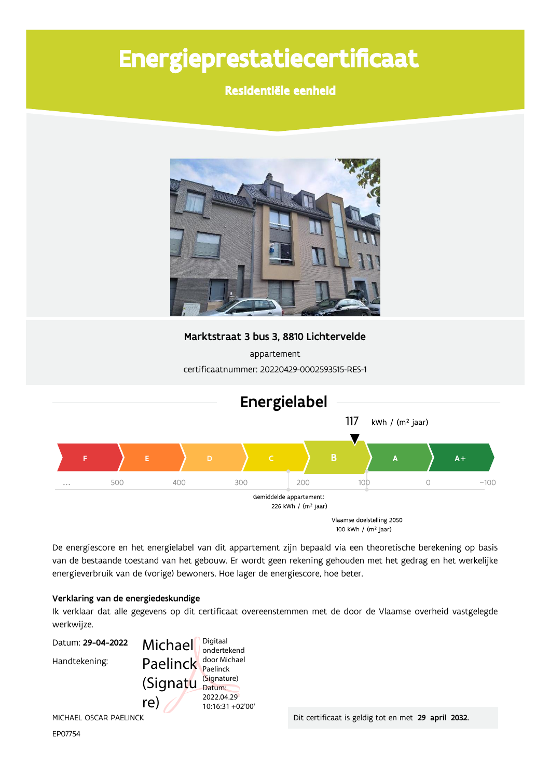# Energieprestatiecertificaat

Residentiële eenheid



Marktstraat 3 bus 3, 8810 Lichtervelde

appartement certificaatnummer: 20220429-0002593515-RES-1



De energiescore en het energielabel van dit appartement zijn bepaald via een theoretische berekening op basis van de bestaande toestand van het gebouw. Er wordt geen rekening gehouden met het gedrag en het werkelijke energieverbruik van de (vorige) bewoners. Hoe lager de energiescore, hoe beter.

### Verklaring van de energiedeskundige

Ik verklaar dat alle gegevens op dit certificaat overeenstemmen met de door de Vlaamse overheid vastgelegde werkwijze.



EP07754

Dit certificaat is geldig tot en met 29 april 2032.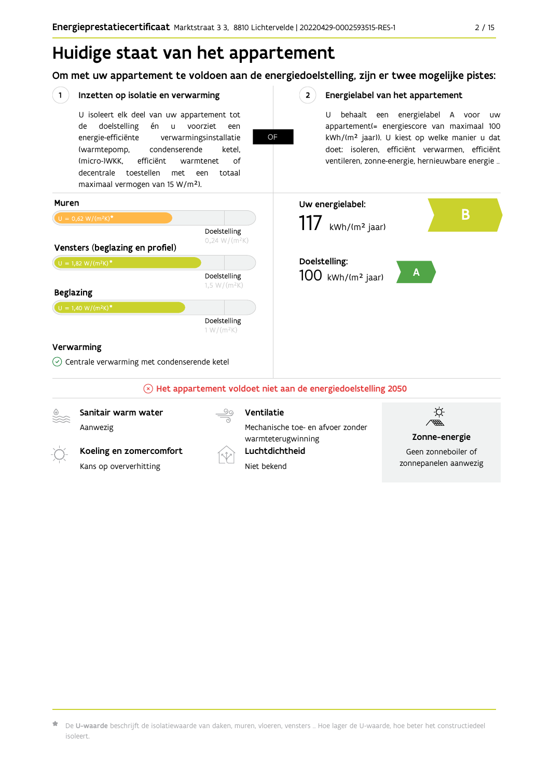## Huidige staat van het appartement

Om met uw appartement te voldoen aan de energiedoelstelling, zijn er twee mogelijke pistes:



 $\star$  De **U-waarde** beschrijft de isolatiewaarde van daken, muren, vloeren, vensters … Hoe lager de U-waarde, hoe beter het constructiedeel isoleert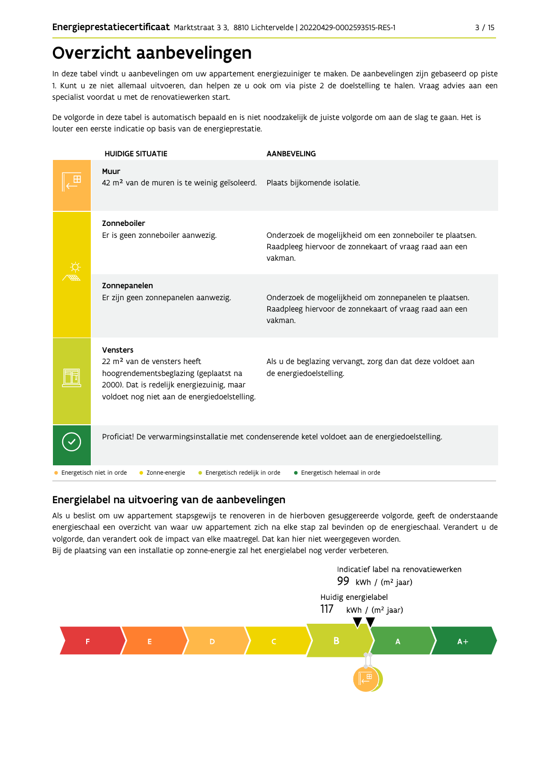## Overzicht aanbevelingen

In deze tabel vindt u aanbevelingen om uw appartement energiezuiniger te maken. De aanbevelingen zijn gebaseerd op piste 1. Kunt u ze niet allemaal uitvoeren, dan helpen ze u ook om via piste 2 de doelstelling te halen. Vraag advies aan een specialist voordat u met de renovatiewerken start.

De volgorde in deze tabel is automatisch bepaald en is niet noodzakelijk de juiste volgorde om aan de slag te gaan. Het is louter een eerste indicatie op basis van de energieprestatie.

|                          | <b>HUIDIGE SITUATIE</b>                                                                                                                                                                    | <b>AANBEVELING</b>                                                                                                             |
|--------------------------|--------------------------------------------------------------------------------------------------------------------------------------------------------------------------------------------|--------------------------------------------------------------------------------------------------------------------------------|
|                          | Muur<br>42 m <sup>2</sup> van de muren is te weinig geïsoleerd.                                                                                                                            | Plaats bijkomende isolatie.                                                                                                    |
|                          | Zonneboiler<br>Er is geen zonneboiler aanwezig.                                                                                                                                            | Onderzoek de mogelijkheid om een zonneboiler te plaatsen.<br>Raadpleeg hiervoor de zonnekaart of vraag raad aan een<br>vakman. |
|                          | Zonnepanelen<br>Er zijn geen zonnepanelen aanwezig.                                                                                                                                        | Onderzoek de mogelijkheid om zonnepanelen te plaatsen.<br>Raadpleeg hiervoor de zonnekaart of vraag raad aan een<br>vakman.    |
|                          | Vensters<br>22 m <sup>2</sup> van de vensters heeft<br>hoogrendementsbeglazing (geplaatst na<br>2000). Dat is redelijk energiezuinig, maar<br>voldoet nog niet aan de energiedoelstelling. | Als u de beglazing vervangt, zorg dan dat deze voldoet aan<br>de energiedoelstelling.                                          |
|                          |                                                                                                                                                                                            | Proficiat! De verwarmingsinstallatie met condenserende ketel voldoet aan de energiedoelstelling.                               |
| Energetisch niet in orde | • Zonne-energie<br>• Energetisch redelijk in orde                                                                                                                                          | • Energetisch helemaal in orde                                                                                                 |

### Energielabel na uitvoering van de aanbevelingen

Als u beslist om uw appartement stapsgewijs te renoveren in de hierboven gesuggereerde volgorde, geeft de onderstaande energieschaal een overzicht van waar uw appartement zich na elke stap zal bevinden op de energieschaal. Verandert u de volgorde, dan verandert ook de impact van elke maatregel. Dat kan hier niet weergegeven worden. Bij de plaatsing van een installatie op zonne-energie zal het energielabel nog verder verbeteren.

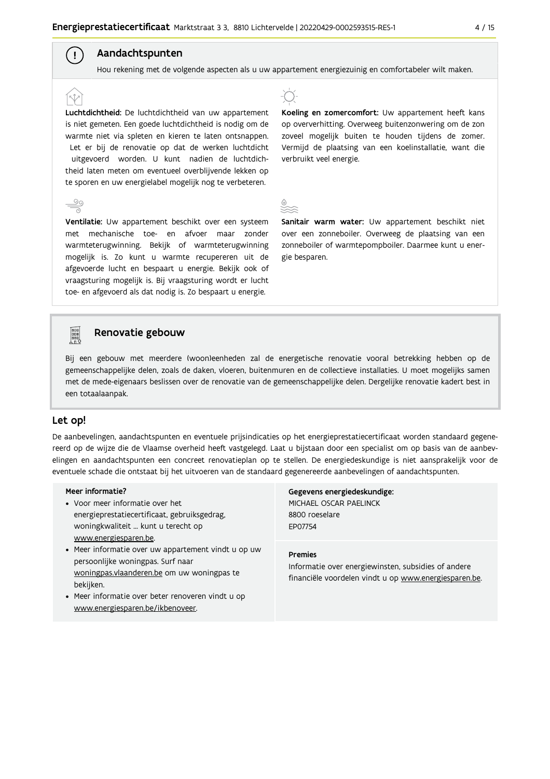## Aandachtspunten

 $\left( \begin{array}{c} 1 \end{array} \right)$ 

Hou rekening met de volgende aspecten als u uw appartement energiezuinig en comfortabeler wilt maken.

Luchtdichtheid: De luchtdichtheid van uw appartement is niet gemeten. Een goede luchtdichtheid is nodig om de warmte niet via spleten en kieren te laten ontsnappen. Let er bij de renovatie op dat de werken luchtdicht uitgevoerd worden. U kunt nadien de luchtdichtheid laten meten om eventueel overblijvende lekken op te sporen en uw energielabel mogelijk nog te verbeteren.

afgevoerde lucht en bespaart u energie. Bekijk ook of vraagsturing mogelijk is. Bij vraagsturing wordt er lucht toe- en afgevoerd als dat nodig is. Zo bespaart u energie.

## Ventilatie: Uw appartement beschikt over een systeem met mechanische toe- en afvoer maar zonder warmteterugwinning. Bekijk of warmteterugwinning mogelijk is. Zo kunt u warmte recupereren uit de



Koeling en zomercomfort: Uw appartement heeft kans op oververhitting. Overweeg buitenzonwering om de zon zoveel mogelijk buiten te houden tijdens de zomer. Vermijd de plaatsing van een koelinstallatie, want die verbruikt veel energie.

Sanitair warm water: Uw appartement beschikt niet over een zonneboiler. Overweeg de plaatsing van een zonneboiler of warmtepompboiler. Daarmee kunt u energie besparen.

#### **Pool** Renovatie gebouw

Bij een gebouw met meerdere (woon)eenheden zal de energetische renovatie vooral betrekking hebben op de gemeenschappelijke delen, zoals de daken, vloeren, buitenmuren en de collectieve installaties. U moet mogelijks samen met de mede-eigenaars beslissen over de renovatie van de gemeenschappelijke delen. Dergelijke renovatie kadert best in een totaalaanpak.

### Let op!

De aanbevelingen, aandachtspunten en eventuele prijsindicaties op het energieprestatiecertificaat worden standaard gegenereerd op de wijze die de Vlaamse overheid heeft vastgelegd. Laat u bijstaan door een specialist om op basis van de aanbevelingen en aandachtspunten een concreet renovatieplan op te stellen. De energiedeskundige is niet aansprakelijk voor de eventuele schade die ontstaat bij het uitvoeren van de standaard gegenereerde aanbevelingen of aandachtspunten.

#### Meer informatie?

- Voor meer informatie over het energieprestatiecertificaat, gebruiksgedrag, woningkwaliteit ... kunt u terecht op www.energiesparen.be.
- Meer informatie over uw appartement vindt u op uw persoonlijke woningpas. Surf naar woningpas.vlaanderen.be om uw woningpas te bekijken.
- Meer informatie over beter renoveren vindt u op www.energiesparen.be/ikbenoveer.

Gegevens energiedeskundige: MICHAEL OSCAR PAELINCK 8800 roeselare EP07754

#### **Premies**

Informatie over energiewinsten, subsidies of andere financiële voordelen vindt u op www.energiesparen.be.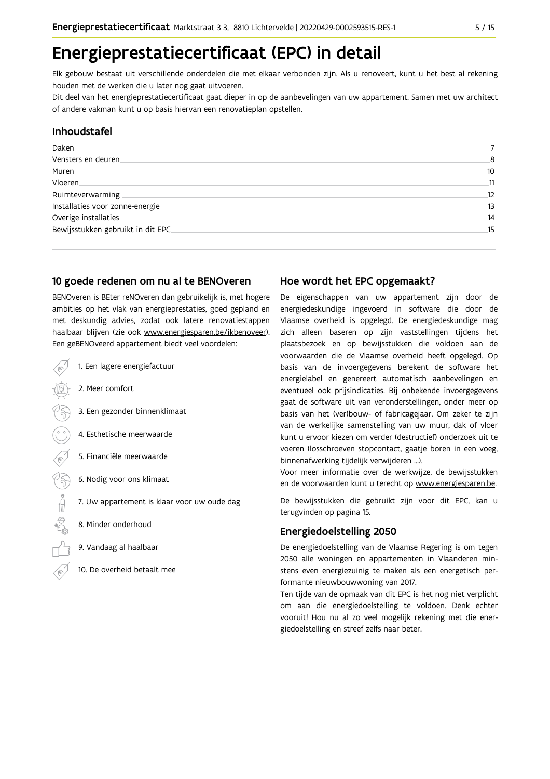## Energieprestatiecertificaat (EPC) in detail

Elk gebouw bestaat uit verschillende onderdelen die met elkaar verbonden zijn. Als u renoveert, kunt u het best al rekening houden met de werken die u later nog gaat uitvoeren.

Dit deel van het energieprestatiecertificaat gaat dieper in op de aanbevelingen van uw appartement. Samen met uw architect of andere vakman kunt u op basis hiervan een renovatieplan opstellen.

### Inhoudstafel

| Daken.                            |    |
|-----------------------------------|----|
| Vensters en deuren                | 8  |
| Muren.                            | 10 |
| Vloeren                           | 11 |
| Ruimteverwarming                  | 12 |
| Installaties voor zonne-energie.  | 13 |
| Overige installaties              | 14 |
| Bewijsstukken gebruikt in dit EPC | 15 |
|                                   |    |

## 10 goede redenen om nu al te BENOveren

BENOveren is BEter reNOveren dan gebruikelijk is, met hogere ambities op het vlak van energieprestaties, goed gepland en met deskundig advies, zodat ook latere renovatiestappen haalbaar blijven (zie ook www.energiesparen.be/ikbenoveer). Een geBENOveerd appartement biedt veel voordelen:

- 1. Een lagere energiefactuur
	- 2. Meer comfort
	- 3. Een gezonder binnenklimaat
	- 4. Esthetische meerwaarde
	- 5. Financiële meerwaarde
- $500 \equiv 0$   $(20)$ 6. Nodig voor ons klimaat
	- 7. Uw appartement is klaar voor uw oude dag
	- 8. Minder onderhoud
	- 9. Vandaag al haalbaar
	- 10. De overheid betaalt mee

## Hoe wordt het EPC opgemaakt?

De eigenschappen van uw appartement zijn door de energiedeskundige ingevoerd in software die door de Vlaamse overheid is opgelegd. De energiedeskundige mag zich alleen baseren op zijn vaststellingen tijdens het plaatsbezoek en op bewijsstukken die voldoen aan de voorwaarden die de Vlaamse overheid heeft opgelegd. Op basis van de invoergegevens berekent de software het energielabel en genereert automatisch aanbevelingen en eventueel ook prijsindicaties. Bij onbekende invoergegevens gaat de software uit van veronderstellingen, onder meer op basis van het (ver)bouw- of fabricagejaar. Om zeker te zijn van de werkelijke samenstelling van uw muur, dak of vloer kunt u ervoor kiezen om verder (destructief) onderzoek uit te voeren (losschroeven stopcontact, gaatje boren in een voeg, binnenafwerking tijdelijk verwijderen ...).

Voor meer informatie over de werkwijze, de bewijsstukken en de voorwaarden kunt u terecht op www.energiesparen.be.

De bewijsstukken die gebruikt zijn voor dit EPC, kan u terugvinden op pagina 15.

## **Energiedoelstelling 2050**

De energiedoelstelling van de Vlaamse Regering is om tegen 2050 alle woningen en appartementen in Vlaanderen minstens even energiezuinig te maken als een energetisch performante nieuwbouwwoning van 2017.

Ten tijde van de opmaak van dit EPC is het nog niet verplicht om aan die energiedoelstelling te voldoen. Denk echter vooruit! Hou nu al zo veel mogelijk rekening met die energiedoelstelling en streef zelfs naar beter.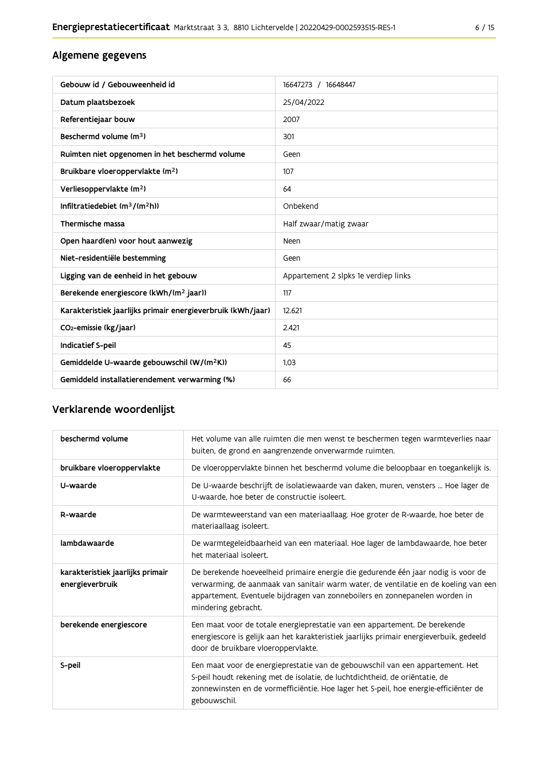## Algemene gegevens

| Gebouw id / Gebouweenheid id                                | 16647273 / 16648447                  |
|-------------------------------------------------------------|--------------------------------------|
| Datum plaatsbezoek                                          | 25/04/2022                           |
| Referentiejaar bouw                                         | 2007                                 |
| Beschermd volume (m <sup>3</sup> )                          | 301                                  |
| Ruimten niet opgenomen in het beschermd volume              | Geen                                 |
| Bruikbare vloeroppervlakte (m <sup>2</sup> )                | 107                                  |
| Verliesoppervlakte (m <sup>2</sup> )                        | 64                                   |
| Infiltratiedebiet $(m^3/(m^2h))$                            | Onbekend                             |
| Thermische massa                                            | Half zwaar/matig zwaar               |
| Open haard(en) voor hout aanwezig                           | Neen                                 |
| Niet-residentiële bestemming                                | Geen                                 |
| Ligging van de eenheid in het gebouw                        | Appartement 2 slpks 1e verdiep links |
| Berekende energiescore (kWh/(m <sup>2</sup> jaar))          | 117                                  |
| Karakteristiek jaarlijks primair energieverbruik (kWh/jaar) | 12.621                               |
| CO <sub>2</sub> -emissie (kg/jaar)                          | 2.421                                |
| Indicatief S-peil                                           | 45                                   |
| Gemiddelde U-waarde gebouwschil (W/(m <sup>2</sup> K))      | 1.03                                 |
| Gemiddeld installatierendement verwarming (%)               | 66                                   |

## Verklarende woordenlijst

| beschermd volume                                    | Het volume van alle ruimten die men wenst te beschermen tegen warmteverlies naar<br>buiten, de grond en aangrenzende onverwarmde ruimten.                                                                                                                                      |
|-----------------------------------------------------|--------------------------------------------------------------------------------------------------------------------------------------------------------------------------------------------------------------------------------------------------------------------------------|
| bruikbare vloeroppervlakte                          | De vloeroppervlakte binnen het beschermd volume die beloopbaar en toegankelijk is.                                                                                                                                                                                             |
| U-waarde                                            | De U-waarde beschrijft de isolatiewaarde van daken, muren, vensters  Hoe lager de<br>U-waarde, hoe beter de constructie isoleert.                                                                                                                                              |
| R-waarde                                            | De warmteweerstand van een materiaallaag. Hoe groter de R-waarde, hoe beter de<br>materiaallaag isoleert.                                                                                                                                                                      |
| lambdawaarde                                        | De warmtegeleidbaarheid van een materiaal. Hoe lager de lambdawaarde, hoe beter<br>het materiaal isoleert.                                                                                                                                                                     |
| karakteristiek jaarlijks primair<br>energieverbruik | De berekende hoeveelheid primaire energie die gedurende één jaar nodig is voor de<br>verwarming, de aanmaak van sanitair warm water, de ventilatie en de koeling van een<br>appartement. Eventuele bijdragen van zonneboilers en zonnepanelen worden in<br>mindering gebracht. |
| berekende energiescore                              | Een maat voor de totale energieprestatie van een appartement. De berekende<br>energiescore is gelijk aan het karakteristiek jaarlijks primair energieverbuik, gedeeld<br>door de bruikbare vloeroppervlakte.                                                                   |
| S-peil                                              | Een maat voor de energieprestatie van de gebouwschil van een appartement. Het<br>S-peil houdt rekening met de isolatie, de luchtdichtheid, de oriëntatie, de<br>zonnewinsten en de vormefficiëntie. Hoe lager het S-peil, hoe energie-efficiënter de<br>gebouwschil.           |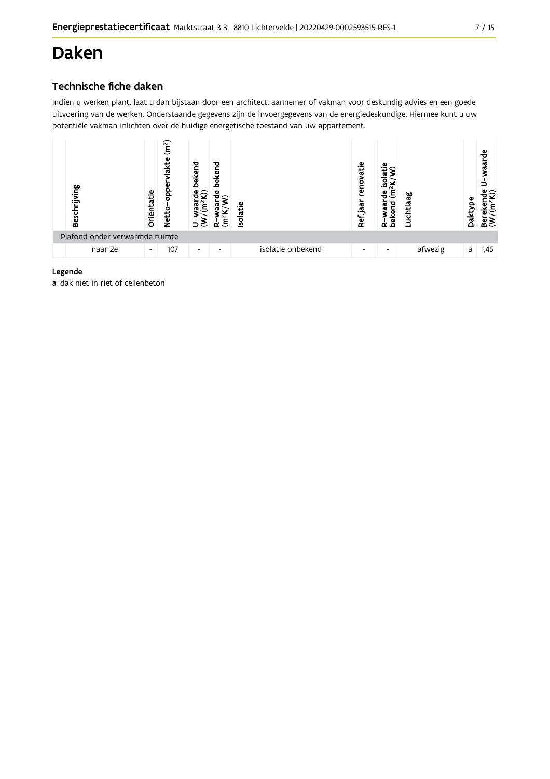## **Daken**

## Technische fiche daken

Indien u werken plant, laat u dan bijstaan door een architect, aannemer of vakman voor deskundig advies en een goede uitvoering van de werken. Onderstaande gegevens zijn de invoergegevens van de energiedeskundige. Hiermee kunt u uw potentiële vakman inlichten over de huidige energetische toestand van uw appartement.



### Legende

a dak niet in riet of cellenbeton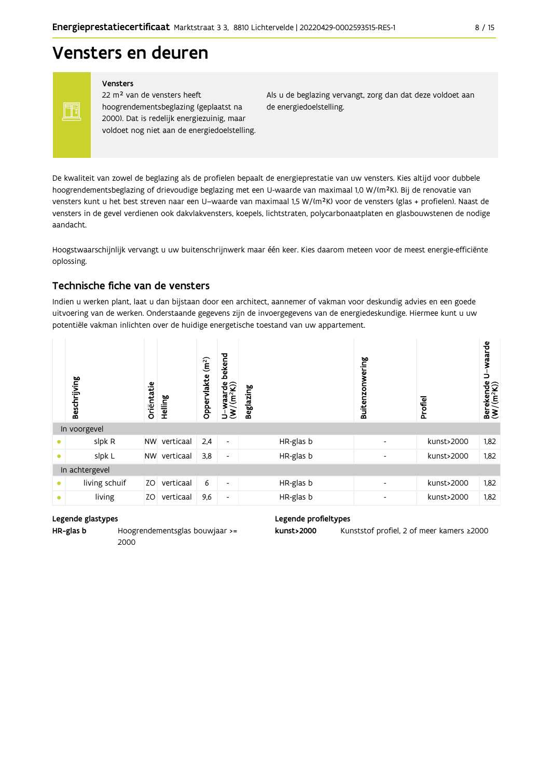## Vensters en deuren

Vensters

FF

22 m<sup>2</sup> van de vensters heeft hoogrendementsbeglazing (geplaatst na 2000). Dat is redelijk energiezuinig, maar voldoet nog niet aan de energiedoelstelling. Als u de beglazing vervangt, zorg dan dat deze voldoet aan de energiedoelstelling.

De kwaliteit van zowel de beglazing als de profielen bepaalt de energieprestatie van uw vensters. Kies altijd voor dubbele hoogrendementsbeglazing of drievoudige beglazing met een U-waarde van maximaal 1,0 W/(m<sup>2</sup>K). Bij de renovatie van vensters kunt u het best streven naar een U-waarde van maximaal 1,5 W/(m<sup>2</sup>K) voor de vensters (glas + profielen). Naast de vensters in de gevel verdienen ook dakvlakvensters, koepels, lichtstraten, polycarbonaatplaten en glasbouwstenen de nodige aandacht.

Hoogstwaarschijnlijk vervangt u uw buitenschrijnwerk maar één keer. Kies daarom meteen voor de meest energie-efficiënte oplossing.

### Technische fiche van de vensters

Indien u werken plant, laat u dan bijstaan door een architect, aannemer of vakman voor deskundig advies en een goede uitvoering van de werken. Onderstaande gegevens zijn de invoergegevens van de energiedeskundige. Hiermee kunt u uw potentiële vakman inlichten over de huidige energetische toestand van uw appartement.

|           | Beschrijving   | Oriëntatie | Helling   | (m <sup>2</sup> )<br>Oppervlakte | bekend<br>$U$ -waarde<br>(W/(m <sup>2</sup> K)) | <b>Beglazing</b> | Buitenzonwering          | Profiel    | U-waarde<br>Berekende l<br>(W/(m <sup>2</sup> K)) |
|-----------|----------------|------------|-----------|----------------------------------|-------------------------------------------------|------------------|--------------------------|------------|---------------------------------------------------|
|           | In voorgevel   |            |           |                                  |                                                 |                  |                          |            |                                                   |
|           | slpk R         | <b>NW</b>  | verticaal | 2,4                              | $\blacksquare$                                  | HR-glas b        | $\overline{\phantom{a}}$ | kunst>2000 | 1,82                                              |
| $\bullet$ | slpk L         | <b>NW</b>  | verticaal | 3,8                              | ٠                                               | HR-glas b        | $\overline{\phantom{a}}$ | kunst>2000 | 1,82                                              |
|           | In achtergevel |            |           |                                  |                                                 |                  |                          |            |                                                   |
| $\bullet$ | living schuif  | ZO.        | verticaal | 6                                | ٠                                               | HR-glas b        | $\overline{\phantom{a}}$ | kunst>2000 | 1,82                                              |
|           | living         | ZO         | verticaal | 9,6                              | ٠                                               | HR-glas b        | $\overline{\phantom{a}}$ | kunst>2000 | 1,82                                              |

#### Legende glastypes

HR-glas b Hoogrendementsglas bouwjaar >= 2000

#### Legende profieltypes

kunst>2000 Kunststof profiel, 2 of meer kamers ≥2000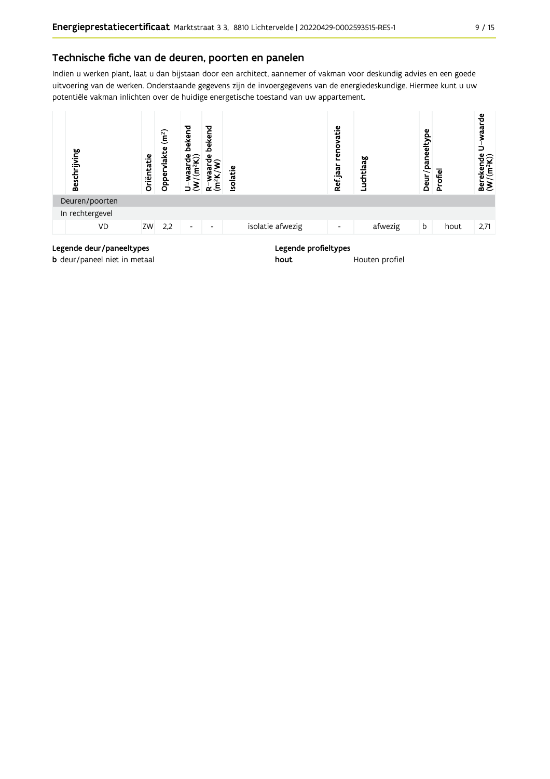Indien u werken plant, laat u dan bijstaan door een architect, aannemer of vakman voor deskundig advies en een goede uitvoering van de werken. Onderstaande gegevens zijn de invoergegevens van de energiedeskundige. Hiermee kunt u uw potentiële vakman inlichten over de huidige energetische toestand van uw appartement.



**b** deur/paneel niet in metaal

Houten profiel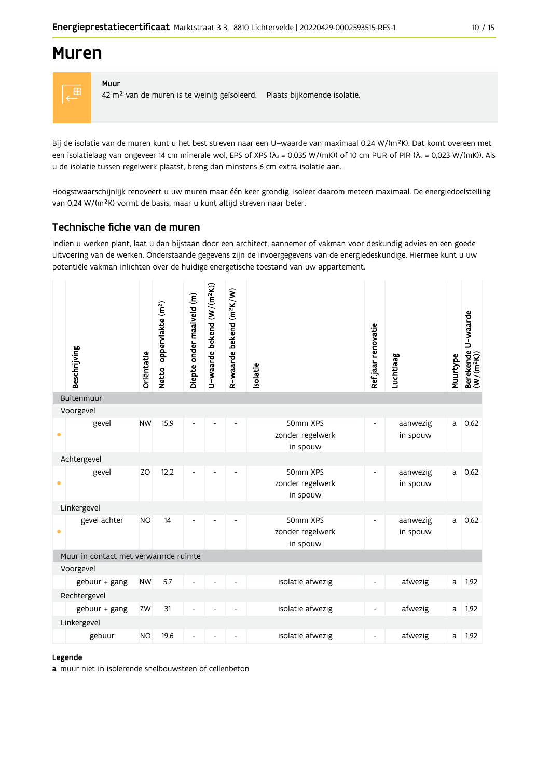## **Muren**

Muur



42 m<sup>2</sup> van de muren is te weinig geïsoleerd. Plaats bijkomende isolatie.

Bij de isolatie van de muren kunt u het best streven naar een U-waarde van maximaal 0,24 W/(m<sup>2</sup>K). Dat komt overeen met een isolatielaag van ongeveer 14 cm minerale wol, EPS of XPS ( $\lambda_a$  = 0,035 W/(mK)) of 10 cm PUR of PIR ( $\lambda_a$  = 0,023 W/(mK)). Als u de isolatie tussen regelwerk plaatst, breng dan minstens 6 cm extra isolatie aan.

Hoogstwaarschijnlijk renoveert u uw muren maar één keer grondig. Isoleer daarom meteen maximaal. De energiedoelstelling van 0,24 W/(m<sup>2</sup>K) vormt de basis, maar u kunt altijd streven naar beter.

### Technische fiche van de muren

Indien u werken plant, laat u dan bijstaan door een architect, aannemer of vakman voor deskundig advies en een goede uitvoering van de werken. Onderstaande gegevens zijn de invoergegevens van de energiedeskundige. Hiermee kunt u uw potentiële vakman inlichten over de huidige energetische toestand van uw appartement.

|           | Beschrijving                         | Oriëntatie | Netto-oppervlakte (m <sup>2</sup> ) | Diepte onder maaiveld (m) | U-waarde bekend (W/(m <sup>2</sup> K)) | R-waarde bekend (m <sup>2</sup> K/W) | Isolatie                                 | Refjaar renovatie        | Luchtlaag            | Muurtype | Berekende U-waarde<br>(W/(m <sup>2</sup> K)) |
|-----------|--------------------------------------|------------|-------------------------------------|---------------------------|----------------------------------------|--------------------------------------|------------------------------------------|--------------------------|----------------------|----------|----------------------------------------------|
|           | Buitenmuur                           |            |                                     |                           |                                        |                                      |                                          |                          |                      |          |                                              |
|           | Voorgevel                            |            |                                     |                           |                                        |                                      |                                          |                          |                      |          |                                              |
| $\bullet$ | gevel                                | <b>NW</b>  | 15,9                                | ٠                         |                                        | $\overline{a}$                       | 50mm XPS<br>zonder regelwerk<br>in spouw | $\overline{\phantom{a}}$ | aanwezig<br>in spouw | a        | 0,62                                         |
|           | Achtergevel                          |            |                                     |                           |                                        |                                      |                                          |                          |                      |          |                                              |
| ۰         | gevel                                | ZO         | 12,2                                |                           |                                        |                                      | 50mm XPS<br>zonder regelwerk<br>in spouw | $\sim$                   | aanwezig<br>in spouw | a        | 0,62                                         |
|           | Linkergevel                          |            |                                     |                           |                                        |                                      |                                          |                          |                      |          |                                              |
| $\bullet$ | gevel achter                         | <b>NO</b>  | 14                                  | $\overline{a}$            |                                        |                                      | 50mm XPS<br>zonder regelwerk<br>in spouw | $\overline{\phantom{a}}$ | aanwezig<br>in spouw | a        | 0.62                                         |
|           | Muur in contact met verwarmde ruimte |            |                                     |                           |                                        |                                      |                                          |                          |                      |          |                                              |
|           | Voorgevel                            |            |                                     |                           |                                        |                                      |                                          |                          |                      |          |                                              |
|           | gebuur + gang                        | <b>NW</b>  | 5,7                                 |                           |                                        |                                      | isolatie afwezig                         |                          | afwezig              | a        | 1,92                                         |
|           | Rechtergevel                         |            |                                     |                           |                                        |                                      |                                          |                          |                      |          |                                              |
|           | gebuur + gang                        | ZW         | 31                                  |                           |                                        |                                      | isolatie afwezig                         | $\overline{\phantom{a}}$ | afwezig              | a        | 1,92                                         |
|           | Linkergevel                          |            |                                     |                           |                                        |                                      |                                          |                          |                      |          |                                              |
|           | gebuur                               | <b>NO</b>  | 19,6                                |                           |                                        |                                      | isolatie afwezig                         |                          | afwezig              | a        | 1,92                                         |

#### Legende

a muur niet in isolerende snelbouwsteen of cellenbeton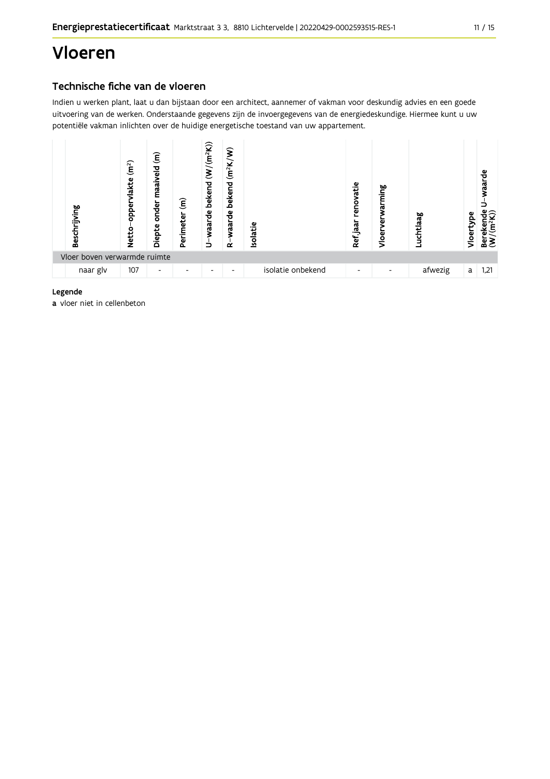## Vloeren

## Technische fiche van de vloeren

Indien u werken plant, laat u dan bijstaan door een architect, aannemer of vakman voor deskundig advies en een goede uitvoering van de werken. Onderstaande gegevens zijn de invoergegevens van de energiedeskundige. Hiermee kunt u uw potentiële vakman inlichten over de huidige energetische toestand van uw appartement.



#### Legende

a vloer niet in cellenbeton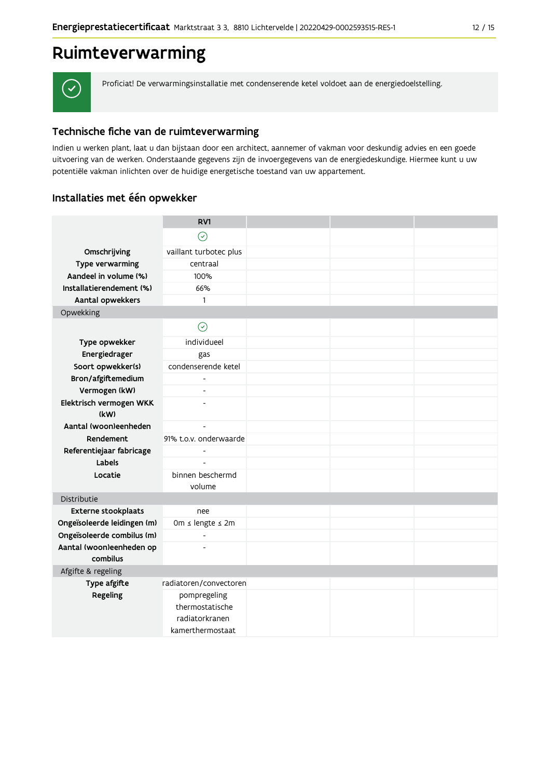## Ruimteverwarming



Proficiat! De verwarmingsinstallatie met condenserende ketel voldoet aan de energiedoelstelling.

## Technische fiche van de ruimteverwarming

Indien u werken plant, laat u dan bijstaan door een architect, aannemer of vakman voor deskundig advies en een goede uitvoering van de werken. Onderstaande gegevens zijn de invoergegevens van de energiedeskundige. Hiermee kunt u uw potentiële vakman inlichten over de huidige energetische toestand van uw appartement.

## Installaties met één opwekker

|                                      | RV1                                               |  |  |
|--------------------------------------|---------------------------------------------------|--|--|
|                                      | $\odot$                                           |  |  |
| Omschrijving                         | vaillant turbotec plus                            |  |  |
| Type verwarming                      | centraal                                          |  |  |
| Aandeel in volume (%)                | 100%                                              |  |  |
| Installatierendement (%)             | 66%                                               |  |  |
| Aantal opwekkers                     | $\mathbf{1}$                                      |  |  |
| Opwekking                            |                                                   |  |  |
|                                      | $\odot$                                           |  |  |
| Type opwekker                        | individueel                                       |  |  |
| Energiedrager                        | gas                                               |  |  |
| Soort opwekker(s)                    | condenserende ketel                               |  |  |
| Bron/afgiftemedium                   |                                                   |  |  |
| Vermogen (kW)                        |                                                   |  |  |
| Elektrisch vermogen WKK<br>(kW)      |                                                   |  |  |
| Aantal (woon)eenheden                | $\blacksquare$                                    |  |  |
| Rendement                            | 91% t.o.v. onderwaarde                            |  |  |
| Referentiejaar fabricage             | $\overline{\phantom{0}}$                          |  |  |
| Labels                               | $\overline{a}$                                    |  |  |
| Locatie                              | binnen beschermd                                  |  |  |
|                                      | volume                                            |  |  |
| Distributie                          |                                                   |  |  |
| Externe stookplaats                  | nee                                               |  |  |
| Ongeïsoleerde leidingen (m)          | 0m ≤ lengte ≤ 2m                                  |  |  |
| Ongeïsoleerde combilus (m)           | $\overline{\phantom{0}}$                          |  |  |
| Aantal (woon)eenheden op<br>combilus |                                                   |  |  |
| Afgifte & regeling                   |                                                   |  |  |
| Type afgifte                         | radiatoren/convectoren                            |  |  |
| Regeling                             | pompregeling<br>thermostatische<br>radiatorkranen |  |  |
|                                      | kamerthermostaat                                  |  |  |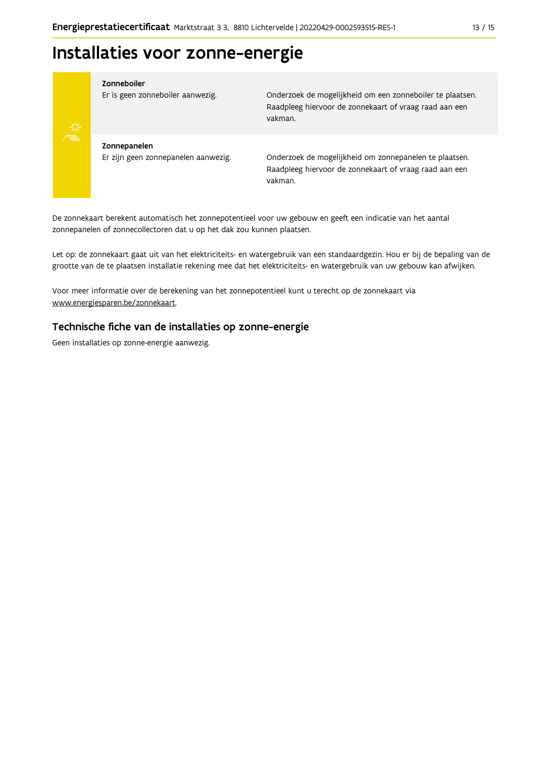## Installaties voor zonne-energie



#### Zonneboiler

Er is geen zonneboiler aanwezig.

Onderzoek de mogelijkheid om een zonneboiler te plaatsen. Raadpleeg hiervoor de zonnekaart of vraag raad aan een vakman.

Zonnepanelen Er zijn geen zonnepanelen aanwezig.

Onderzoek de mogelijkheid om zonnepanelen te plaatsen. Raadpleeg hiervoor de zonnekaart of vraag raad aan een vakman.

De zonnekaart berekent automatisch het zonnepotentieel voor uw gebouw en geeft een indicatie van het aantal zonnepanelen of zonnecollectoren dat u op het dak zou kunnen plaatsen.

Let op: de zonnekaart gaat uit van het elektriciteits- en watergebruik van een standaardgezin. Hou er bij de bepaling van de grootte van de te plaatsen installatie rekening mee dat het elektriciteits- en watergebruik van uw gebouw kan afwijken.

Voor meer informatie over de berekening van het zonnepotentieel kunt u terecht op de zonnekaart via www.energiesparen.be/zonnekaart.

### Technische fiche van de installaties op zonne-energie

Geen installaties op zonne-energie aanwezig.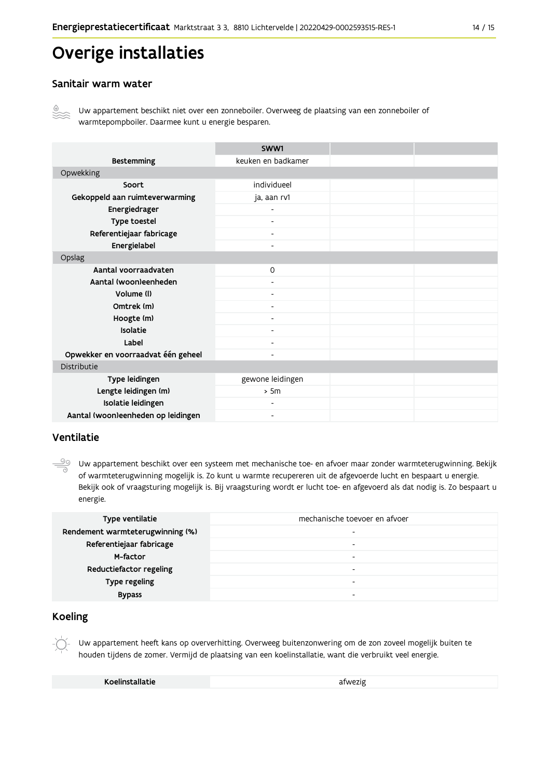## Overige installaties

### Sanitair warm water



Uw appartement beschikt niet over een zonneboiler. Overweeg de plaatsing van een zonneboiler of warmtepompboiler. Daarmee kunt u energie besparen.

|                                    | SWW1                     |  |
|------------------------------------|--------------------------|--|
| <b>Bestemming</b>                  | keuken en badkamer       |  |
| Opwekking                          |                          |  |
| Soort                              | individueel              |  |
| Gekoppeld aan ruimteverwarming     | ja, aan rv1              |  |
| Energiedrager                      |                          |  |
| Type toestel                       | $\overline{\phantom{a}}$ |  |
| Referentiejaar fabricage           | $\blacksquare$           |  |
| Energielabel                       |                          |  |
| Opslag                             |                          |  |
| Aantal voorraadvaten               | $\circ$                  |  |
| Aantal (woon)eenheden              |                          |  |
| Volume (I)                         | $\overline{\phantom{0}}$ |  |
| Omtrek (m)                         |                          |  |
| Hoogte (m)                         |                          |  |
| Isolatie                           |                          |  |
| Label                              | $\overline{\phantom{a}}$ |  |
| Opwekker en voorraadvat één geheel |                          |  |
| Distributie                        |                          |  |
| Type leidingen                     | gewone leidingen         |  |
| Lengte leidingen (m)               | > 5m                     |  |
| Isolatie leidingen                 | $\blacksquare$           |  |
| Aantal (woon)eenheden op leidingen |                          |  |

### Ventilatie

99 Uw appartement beschikt over een systeem met mechanische toe- en afvoer maar zonder warmteterugwinning. Bekijk of warmteterugwinning mogelijk is. Zo kunt u warmte recupereren uit de afgevoerde lucht en bespaart u energie. Bekijk ook of vraagsturing mogelijk is. Bij vraagsturing wordt er lucht toe- en afgevoerd als dat nodig is. Zo bespaart u energie.

| Type ventilatie                  | mechanische toevoer en afvoer |
|----------------------------------|-------------------------------|
| Rendement warmteterugwinning (%) |                               |
| Referentiejaar fabricage         | $\overline{\phantom{a}}$      |
| M-factor                         |                               |
| Reductiefactor regeling          |                               |
| Type regeling                    | $\,$                          |
| <b>Bypass</b>                    |                               |

## **Koeling**

Uw appartement heeft kans op oververhitting. Overweeg buitenzonwering om de zon zoveel mogelijk buiten te houden tijdens de zomer. Vermijd de plaatsing van een koelinstallatie, want die verbruikt veel energie.

Koelinstallatie